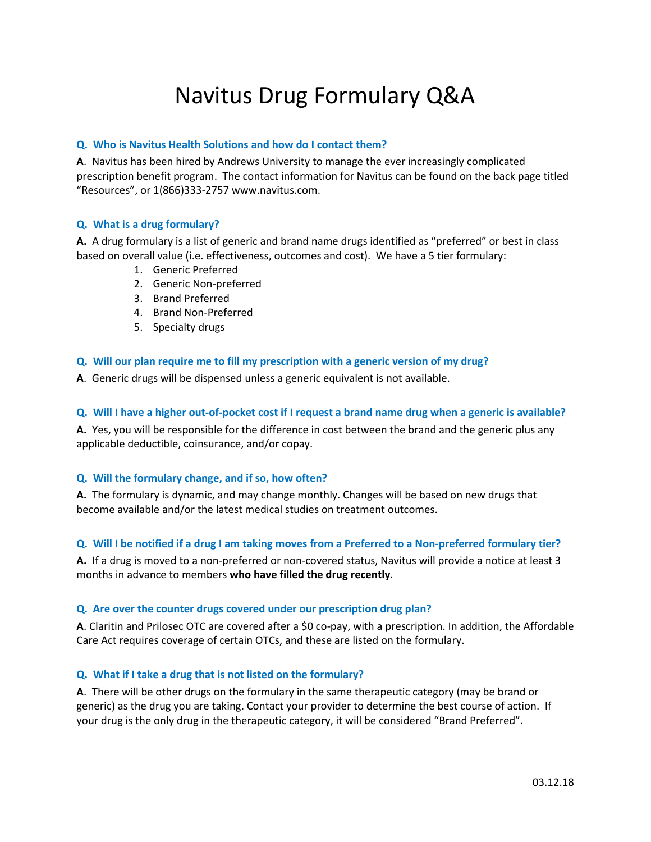# Navitus Drug Formulary Q&A

## **Q. Who is Navitus Health Solutions and how do I contact them?**

**A**. Navitus has been hired by Andrews University to manage the ever increasingly complicated prescription benefit program. The contact information for Navitus can be found on the back page titled "Resources", or 1(866)333-2757 www.navitus.com.

## **Q. What is a drug formulary?**

**A.** A drug formulary is a list of generic and brand name drugs identified as "preferred" or best in class based on overall value (i.e. effectiveness, outcomes and cost). We have a 5 tier formulary:

- 1. Generic Preferred
- 2. Generic Non-preferred
- 3. Brand Preferred
- 4. Brand Non-Preferred
- 5. Specialty drugs

## **Q. Will our plan require me to fill my prescription with a generic version of my drug?**

**A**. Generic drugs will be dispensed unless a generic equivalent is not available.

## **Q. Will I have a higher out-of-pocket cost if I request a brand name drug when a generic is available?**

**A.** Yes, you will be responsible for the difference in cost between the brand and the generic plus any applicable deductible, coinsurance, and/or copay.

## **Q. Will the formulary change, and if so, how often?**

**A.** The formulary is dynamic, and may change monthly. Changes will be based on new drugs that become available and/or the latest medical studies on treatment outcomes.

## **Q. Will I be notified if a drug I am taking moves from a Preferred to a Non-preferred formulary tier?**

**A.** If a drug is moved to a non-preferred or non-covered status, Navitus will provide a notice at least 3 months in advance to members **who have filled the drug recently**.

## **Q. Are over the counter drugs covered under our prescription drug plan?**

**A**. Claritin and Prilosec OTC are covered after a \$0 co-pay, with a prescription. In addition, the Affordable Care Act requires coverage of certain OTCs, and these are listed on the formulary.

## **Q. What if I take a drug that is not listed on the formulary?**

**A**. There will be other drugs on the formulary in the same therapeutic category (may be brand or generic) as the drug you are taking. Contact your provider to determine the best course of action. If your drug is the only drug in the therapeutic category, it will be considered "Brand Preferred".